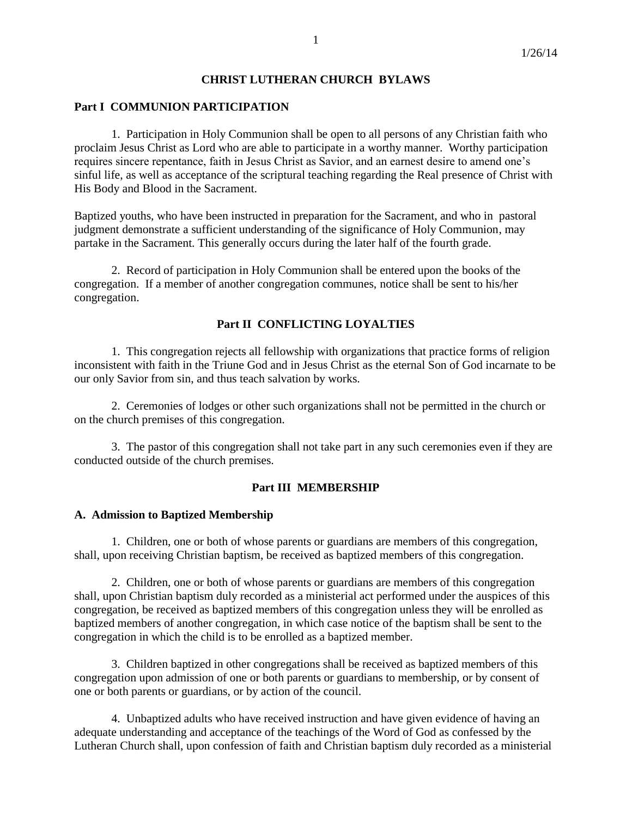## **CHRIST LUTHERAN CHURCH BYLAWS**

### **Part I COMMUNION PARTICIPATION**

1. Participation in Holy Communion shall be open to all persons of any Christian faith who proclaim Jesus Christ as Lord who are able to participate in a worthy manner. Worthy participation requires sincere repentance, faith in Jesus Christ as Savior, and an earnest desire to amend one's sinful life, as well as acceptance of the scriptural teaching regarding the Real presence of Christ with His Body and Blood in the Sacrament.

Baptized youths, who have been instructed in preparation for the Sacrament, and who in pastoral judgment demonstrate a sufficient understanding of the significance of Holy Communion, may partake in the Sacrament*.* This generally occurs during the later half of the fourth grade.

2. Record of participation in Holy Communion shall be entered upon the books of the congregation. If a member of another congregation communes, notice shall be sent to his/her congregation.

#### **Part II CONFLICTING LOYALTIES**

1. This congregation rejects all fellowship with organizations that practice forms of religion inconsistent with faith in the Triune God and in Jesus Christ as the eternal Son of God incarnate to be our only Savior from sin, and thus teach salvation by works.

2. Ceremonies of lodges or other such organizations shall not be permitted in the church or on the church premises of this congregation.

3. The pastor of this congregation shall not take part in any such ceremonies even if they are conducted outside of the church premises.

#### **Part III MEMBERSHIP**

#### **A. Admission to Baptized Membership**

1. Children, one or both of whose parents or guardians are members of this congregation, shall, upon receiving Christian baptism, be received as baptized members of this congregation.

2. Children, one or both of whose parents or guardians are members of this congregation shall, upon Christian baptism duly recorded as a ministerial act performed under the auspices of this congregation, be received as baptized members of this congregation unless they will be enrolled as baptized members of another congregation, in which case notice of the baptism shall be sent to the congregation in which the child is to be enrolled as a baptized member.

3. Children baptized in other congregations shall be received as baptized members of this congregation upon admission of one or both parents or guardians to membership, or by consent of one or both parents or guardians, or by action of the council.

4. Unbaptized adults who have received instruction and have given evidence of having an adequate understanding and acceptance of the teachings of the Word of God as confessed by the Lutheran Church shall, upon confession of faith and Christian baptism duly recorded as a ministerial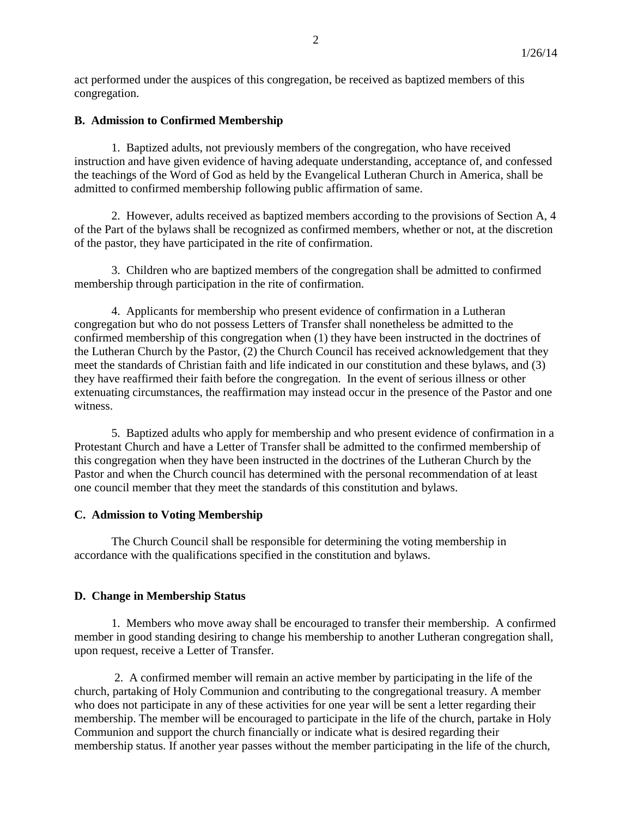act performed under the auspices of this congregation, be received as baptized members of this congregation.

### **B. Admission to Confirmed Membership**

1. Baptized adults, not previously members of the congregation, who have received instruction and have given evidence of having adequate understanding, acceptance of, and confessed the teachings of the Word of God as held by the Evangelical Lutheran Church in America, shall be admitted to confirmed membership following public affirmation of same.

2. However, adults received as baptized members according to the provisions of Section A, 4 of the Part of the bylaws shall be recognized as confirmed members, whether or not, at the discretion of the pastor, they have participated in the rite of confirmation.

3. Children who are baptized members of the congregation shall be admitted to confirmed membership through participation in the rite of confirmation.

4. Applicants for membership who present evidence of confirmation in a Lutheran congregation but who do not possess Letters of Transfer shall nonetheless be admitted to the confirmed membership of this congregation when (1) they have been instructed in the doctrines of the Lutheran Church by the Pastor, (2) the Church Council has received acknowledgement that they meet the standards of Christian faith and life indicated in our constitution and these bylaws, and (3) they have reaffirmed their faith before the congregation. In the event of serious illness or other extenuating circumstances, the reaffirmation may instead occur in the presence of the Pastor and one witness.

5. Baptized adults who apply for membership and who present evidence of confirmation in a Protestant Church and have a Letter of Transfer shall be admitted to the confirmed membership of this congregation when they have been instructed in the doctrines of the Lutheran Church by the Pastor and when the Church council has determined with the personal recommendation of at least one council member that they meet the standards of this constitution and bylaws.

### **C. Admission to Voting Membership**

The Church Council shall be responsible for determining the voting membership in accordance with the qualifications specified in the constitution and bylaws.

### **D. Change in Membership Status**

1. Members who move away shall be encouraged to transfer their membership. A confirmed member in good standing desiring to change his membership to another Lutheran congregation shall, upon request, receive a Letter of Transfer.

2. A confirmed member will remain an active member by participating in the life of the church, partaking of Holy Communion and contributing to the congregational treasury. A member who does not participate in any of these activities for one year will be sent a letter regarding their membership. The member will be encouraged to participate in the life of the church, partake in Holy Communion and support the church financially or indicate what is desired regarding their membership status. If another year passes without the member participating in the life of the church,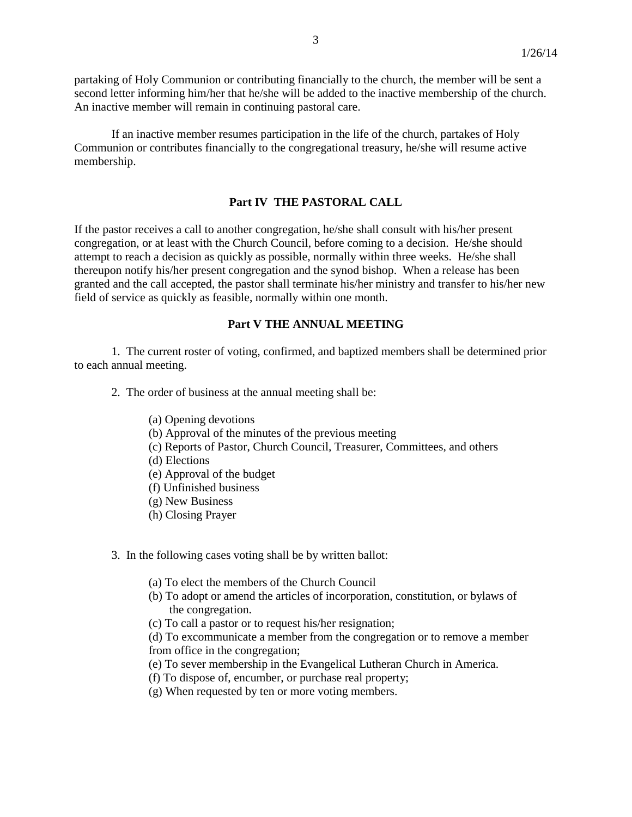partaking of Holy Communion or contributing financially to the church, the member will be sent a second letter informing him/her that he/she will be added to the inactive membership of the church. An inactive member will remain in continuing pastoral care.

If an inactive member resumes participation in the life of the church, partakes of Holy Communion or contributes financially to the congregational treasury, he/she will resume active membership.

#### **Part IV THE PASTORAL CALL**

If the pastor receives a call to another congregation, he/she shall consult with his/her present congregation, or at least with the Church Council, before coming to a decision. He/she should attempt to reach a decision as quickly as possible, normally within three weeks. He/she shall thereupon notify his/her present congregation and the synod bishop. When a release has been granted and the call accepted, the pastor shall terminate his/her ministry and transfer to his/her new field of service as quickly as feasible, normally within one month.

# **Part V THE ANNUAL MEETING**

1. The current roster of voting, confirmed, and baptized members shall be determined prior to each annual meeting.

2. The order of business at the annual meeting shall be:

- (a) Opening devotions
- (b) Approval of the minutes of the previous meeting
- (c) Reports of Pastor, Church Council, Treasurer, Committees, and others
- (d) Elections
- (e) Approval of the budget
- (f) Unfinished business
- (g) New Business
- (h) Closing Prayer
- 3. In the following cases voting shall be by written ballot:
	- (a) To elect the members of the Church Council
	- (b) To adopt or amend the articles of incorporation, constitution, or bylaws of the congregation.
	- (c) To call a pastor or to request his/her resignation;

(d) To excommunicate a member from the congregation or to remove a member from office in the congregation;

- (e) To sever membership in the Evangelical Lutheran Church in America.
- (f) To dispose of, encumber, or purchase real property;
- (g) When requested by ten or more voting members.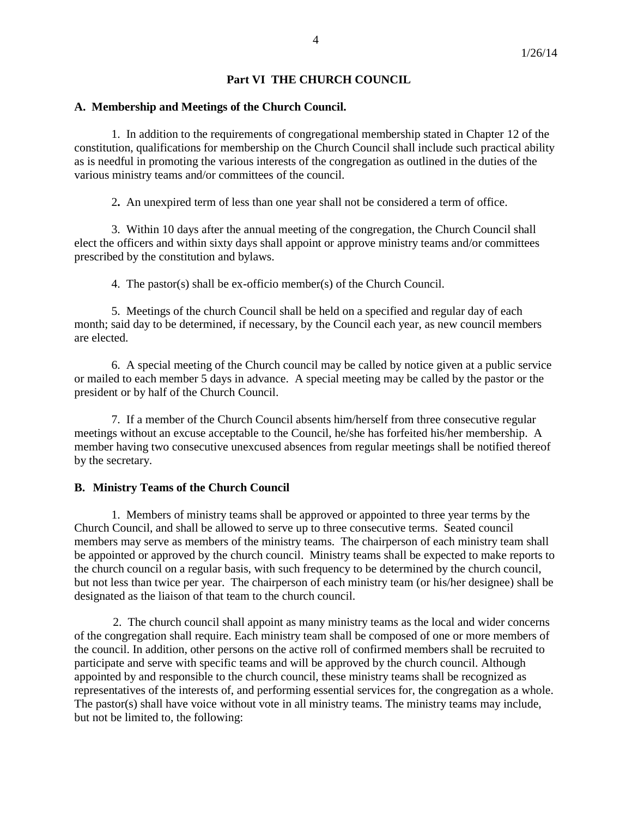# **Part VI THE CHURCH COUNCIL**

### **A. Membership and Meetings of the Church Council.**

1. In addition to the requirements of congregational membership stated in Chapter 12 of the constitution, qualifications for membership on the Church Council shall include such practical ability as is needful in promoting the various interests of the congregation as outlined in the duties of the various ministry teams and/or committees of the council.

2**.** An unexpired term of less than one year shall not be considered a term of office.

3. Within 10 days after the annual meeting of the congregation, the Church Council shall elect the officers and within sixty days shall appoint or approve ministry teams and/or committees prescribed by the constitution and bylaws.

4. The pastor(s) shall be ex-officio member(s) of the Church Council.

5. Meetings of the church Council shall be held on a specified and regular day of each month; said day to be determined, if necessary, by the Council each year, as new council members are elected.

6. A special meeting of the Church council may be called by notice given at a public service or mailed to each member 5 days in advance. A special meeting may be called by the pastor or the president or by half of the Church Council.

7. If a member of the Church Council absents him/herself from three consecutive regular meetings without an excuse acceptable to the Council, he/she has forfeited his/her membership. A member having two consecutive unexcused absences from regular meetings shall be notified thereof by the secretary.

### **B. Ministry Teams of the Church Council**

1. Members of ministry teams shall be approved or appointed to three year terms by the Church Council, and shall be allowed to serve up to three consecutive terms. Seated council members may serve as members of the ministry teams. The chairperson of each ministry team shall be appointed or approved by the church council. Ministry teams shall be expected to make reports to the church council on a regular basis, with such frequency to be determined by the church council, but not less than twice per year. The chairperson of each ministry team (or his/her designee) shall be designated as the liaison of that team to the church council.

 2. The church council shall appoint as many ministry teams as the local and wider concerns of the congregation shall require. Each ministry team shall be composed of one or more members of the council. In addition, other persons on the active roll of confirmed members shall be recruited to participate and serve with specific teams and will be approved by the church council. Although appointed by and responsible to the church council, these ministry teams shall be recognized as representatives of the interests of, and performing essential services for, the congregation as a whole. The pastor(s) shall have voice without vote in all ministry teams. The ministry teams may include, but not be limited to, the following: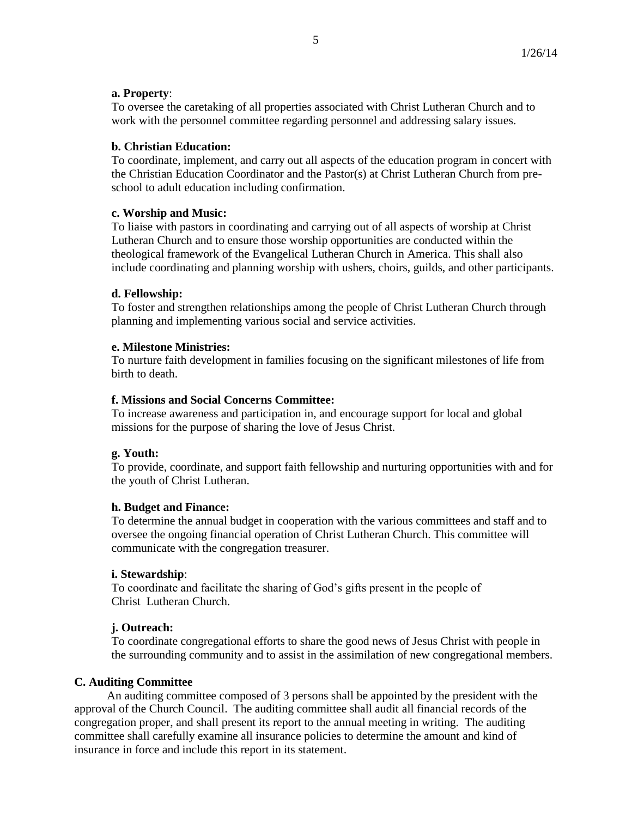### **a. Property**:

To oversee the caretaking of all properties associated with Christ Lutheran Church and to work with the personnel committee regarding personnel and addressing salary issues.

## **b. Christian Education:**

To coordinate, implement, and carry out all aspects of the education program in concert with the Christian Education Coordinator and the Pastor(s) at Christ Lutheran Church from preschool to adult education including confirmation.

### **c. Worship and Music:**

To liaise with pastors in coordinating and carrying out of all aspects of worship at Christ Lutheran Church and to ensure those worship opportunities are conducted within the theological framework of the Evangelical Lutheran Church in America. This shall also include coordinating and planning worship with ushers, choirs, guilds, and other participants.

### **d. Fellowship:**

To foster and strengthen relationships among the people of Christ Lutheran Church through planning and implementing various social and service activities.

### **e. Milestone Ministries:**

To nurture faith development in families focusing on the significant milestones of life from birth to death.

### **f. Missions and Social Concerns Committee:**

To increase awareness and participation in, and encourage support for local and global missions for the purpose of sharing the love of Jesus Christ.

# **g. Youth:**

To provide, coordinate, and support faith fellowship and nurturing opportunities with and for the youth of Christ Lutheran.

### **h. Budget and Finance:**

To determine the annual budget in cooperation with the various committees and staff and to oversee the ongoing financial operation of Christ Lutheran Church. This committee will communicate with the congregation treasurer.

### **i. Stewardship**:

To coordinate and facilitate the sharing of God's gifts present in the people of Christ Lutheran Church.

# **j. Outreach:**

To coordinate congregational efforts to share the good news of Jesus Christ with people in the surrounding community and to assist in the assimilation of new congregational members.

### **C. Auditing Committee**

 An auditing committee composed of 3 persons shall be appointed by the president with the approval of the Church Council. The auditing committee shall audit all financial records of the congregation proper, and shall present its report to the annual meeting in writing. The auditing committee shall carefully examine all insurance policies to determine the amount and kind of insurance in force and include this report in its statement.